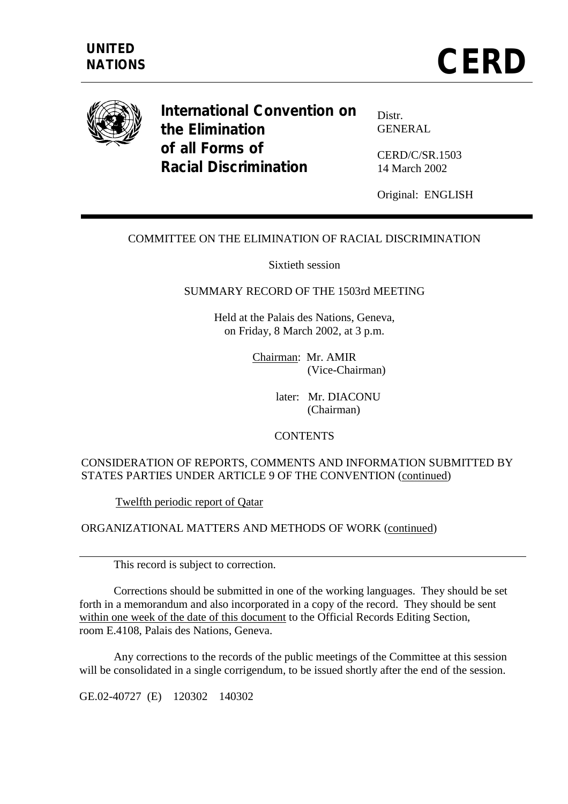

**International Convention on the Elimination of all Forms of Racial Discrimination** 

Distr. GENERAL

CERD/C/SR.1503 14 March 2002

Original: ENGLISH

## COMMITTEE ON THE ELIMINATION OF RACIAL DISCRIMINATION

Sixtieth session

### SUMMARY RECORD OF THE 1503rd MEETING

Held at the Palais des Nations, Geneva, on Friday, 8 March 2002, at 3 p.m.

> Chairman: Mr. AMIR (Vice-Chairman)

> > later: Mr. DIACONU (Chairman)

#### **CONTENTS**

## CONSIDERATION OF REPORTS, COMMENTS AND INFORMATION SUBMITTED BY STATES PARTIES UNDER ARTICLE 9 OF THE CONVENTION (continued)

Twelfth periodic report of Qatar

ORGANIZATIONAL MATTERS AND METHODS OF WORK (continued)

This record is subject to correction.

 Corrections should be submitted in one of the working languages. They should be set forth in a memorandum and also incorporated in a copy of the record. They should be sent within one week of the date of this document to the Official Records Editing Section, room E.4108, Palais des Nations, Geneva.

 Any corrections to the records of the public meetings of the Committee at this session will be consolidated in a single corrigendum, to be issued shortly after the end of the session.

GE.02-40727 (E) 120302 140302

 $\overline{a}$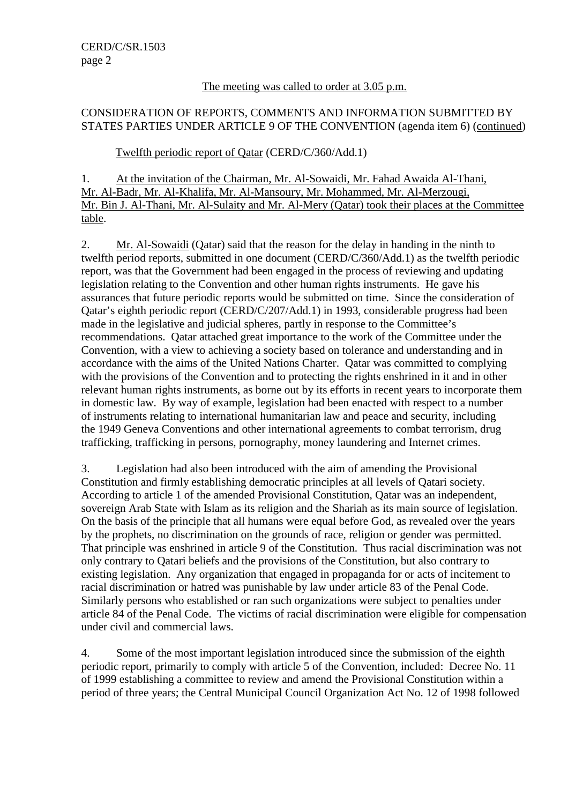### The meeting was called to order at 3.05 p.m.

# CONSIDERATION OF REPORTS, COMMENTS AND INFORMATION SUBMITTED BY STATES PARTIES UNDER ARTICLE 9 OF THE CONVENTION (agenda item 6) (continued)

## Twelfth periodic report of Qatar (CERD/C/360/Add.1)

1. At the invitation of the Chairman, Mr. Al-Sowaidi, Mr. Fahad Awaida Al-Thani, Mr. Al-Badr, Mr. Al-Khalifa, Mr. Al-Mansoury, Mr. Mohammed, Mr. Al-Merzougi, Mr. Bin J. Al-Thani, Mr. Al-Sulaity and Mr. Al-Mery (Qatar) took their places at the Committee table.

2. Mr. Al-Sowaidi (Qatar) said that the reason for the delay in handing in the ninth to twelfth period reports, submitted in one document (CERD/C/360/Add.1) as the twelfth periodic report, was that the Government had been engaged in the process of reviewing and updating legislation relating to the Convention and other human rights instruments. He gave his assurances that future periodic reports would be submitted on time. Since the consideration of Qatar's eighth periodic report (CERD/C/207/Add.1) in 1993, considerable progress had been made in the legislative and judicial spheres, partly in response to the Committee's recommendations. Qatar attached great importance to the work of the Committee under the Convention, with a view to achieving a society based on tolerance and understanding and in accordance with the aims of the United Nations Charter. Qatar was committed to complying with the provisions of the Convention and to protecting the rights enshrined in it and in other relevant human rights instruments, as borne out by its efforts in recent years to incorporate them in domestic law. By way of example, legislation had been enacted with respect to a number of instruments relating to international humanitarian law and peace and security, including the 1949 Geneva Conventions and other international agreements to combat terrorism, drug trafficking, trafficking in persons, pornography, money laundering and Internet crimes.

3. Legislation had also been introduced with the aim of amending the Provisional Constitution and firmly establishing democratic principles at all levels of Qatari society. According to article 1 of the amended Provisional Constitution, Qatar was an independent, sovereign Arab State with Islam as its religion and the Shariah as its main source of legislation. On the basis of the principle that all humans were equal before God, as revealed over the years by the prophets, no discrimination on the grounds of race, religion or gender was permitted. That principle was enshrined in article 9 of the Constitution. Thus racial discrimination was not only contrary to Qatari beliefs and the provisions of the Constitution, but also contrary to existing legislation. Any organization that engaged in propaganda for or acts of incitement to racial discrimination or hatred was punishable by law under article 83 of the Penal Code. Similarly persons who established or ran such organizations were subject to penalties under article 84 of the Penal Code. The victims of racial discrimination were eligible for compensation under civil and commercial laws.

4. Some of the most important legislation introduced since the submission of the eighth periodic report, primarily to comply with article 5 of the Convention, included: Decree No. 11 of 1999 establishing a committee to review and amend the Provisional Constitution within a period of three years; the Central Municipal Council Organization Act No. 12 of 1998 followed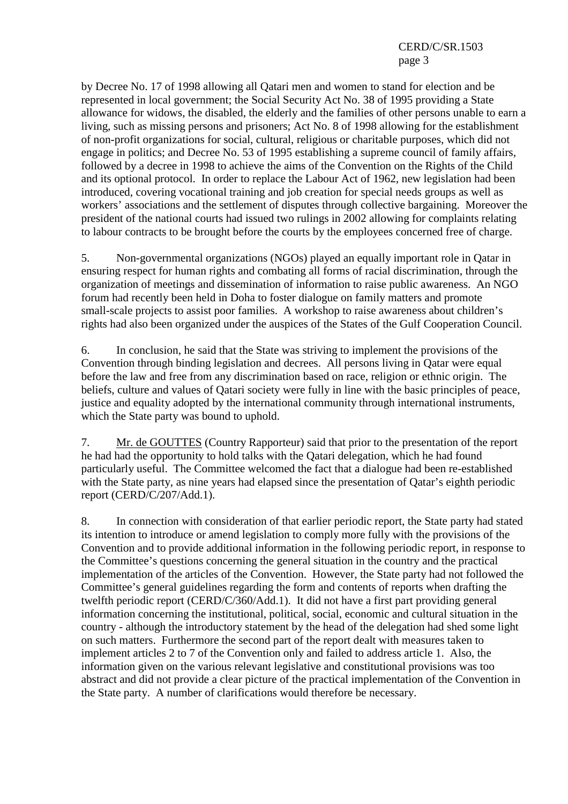by Decree No. 17 of 1998 allowing all Qatari men and women to stand for election and be represented in local government; the Social Security Act No. 38 of 1995 providing a State allowance for widows, the disabled, the elderly and the families of other persons unable to earn a living, such as missing persons and prisoners; Act No. 8 of 1998 allowing for the establishment of non-profit organizations for social, cultural, religious or charitable purposes, which did not engage in politics; and Decree No. 53 of 1995 establishing a supreme council of family affairs, followed by a decree in 1998 to achieve the aims of the Convention on the Rights of the Child and its optional protocol. In order to replace the Labour Act of 1962, new legislation had been introduced, covering vocational training and job creation for special needs groups as well as workers' associations and the settlement of disputes through collective bargaining. Moreover the president of the national courts had issued two rulings in 2002 allowing for complaints relating to labour contracts to be brought before the courts by the employees concerned free of charge.

5. Non-governmental organizations (NGOs) played an equally important role in Qatar in ensuring respect for human rights and combating all forms of racial discrimination, through the organization of meetings and dissemination of information to raise public awareness. An NGO forum had recently been held in Doha to foster dialogue on family matters and promote small-scale projects to assist poor families. A workshop to raise awareness about children's rights had also been organized under the auspices of the States of the Gulf Cooperation Council.

6. In conclusion, he said that the State was striving to implement the provisions of the Convention through binding legislation and decrees. All persons living in Qatar were equal before the law and free from any discrimination based on race, religion or ethnic origin. The beliefs, culture and values of Qatari society were fully in line with the basic principles of peace, justice and equality adopted by the international community through international instruments, which the State party was bound to uphold.

7. Mr. de GOUTTES (Country Rapporteur) said that prior to the presentation of the report he had had the opportunity to hold talks with the Qatari delegation, which he had found particularly useful. The Committee welcomed the fact that a dialogue had been re-established with the State party, as nine years had elapsed since the presentation of Qatar's eighth periodic report (CERD/C/207/Add.1).

8. In connection with consideration of that earlier periodic report, the State party had stated its intention to introduce or amend legislation to comply more fully with the provisions of the Convention and to provide additional information in the following periodic report, in response to the Committee's questions concerning the general situation in the country and the practical implementation of the articles of the Convention. However, the State party had not followed the Committee's general guidelines regarding the form and contents of reports when drafting the twelfth periodic report (CERD/C/360/Add.1). It did not have a first part providing general information concerning the institutional, political, social, economic and cultural situation in the country - although the introductory statement by the head of the delegation had shed some light on such matters. Furthermore the second part of the report dealt with measures taken to implement articles 2 to 7 of the Convention only and failed to address article 1. Also, the information given on the various relevant legislative and constitutional provisions was too abstract and did not provide a clear picture of the practical implementation of the Convention in the State party. A number of clarifications would therefore be necessary.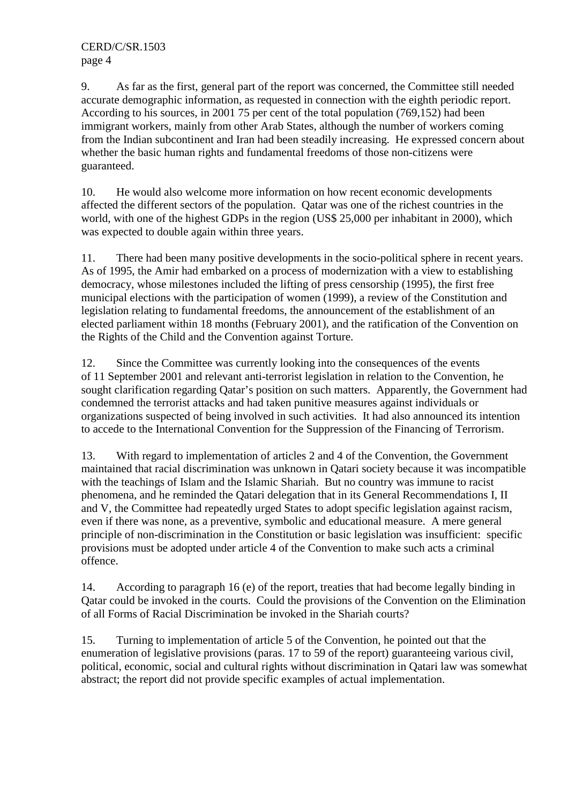9. As far as the first, general part of the report was concerned, the Committee still needed accurate demographic information, as requested in connection with the eighth periodic report. According to his sources, in 2001 75 per cent of the total population (769,152) had been immigrant workers, mainly from other Arab States, although the number of workers coming from the Indian subcontinent and Iran had been steadily increasing. He expressed concern about whether the basic human rights and fundamental freedoms of those non-citizens were guaranteed.

10. He would also welcome more information on how recent economic developments affected the different sectors of the population. Qatar was one of the richest countries in the world, with one of the highest GDPs in the region (US\$ 25,000 per inhabitant in 2000), which was expected to double again within three years.

11. There had been many positive developments in the socio-political sphere in recent years. As of 1995, the Amir had embarked on a process of modernization with a view to establishing democracy, whose milestones included the lifting of press censorship (1995), the first free municipal elections with the participation of women (1999), a review of the Constitution and legislation relating to fundamental freedoms, the announcement of the establishment of an elected parliament within 18 months (February 2001), and the ratification of the Convention on the Rights of the Child and the Convention against Torture.

12. Since the Committee was currently looking into the consequences of the events of 11 September 2001 and relevant anti-terrorist legislation in relation to the Convention, he sought clarification regarding Qatar's position on such matters. Apparently, the Government had condemned the terrorist attacks and had taken punitive measures against individuals or organizations suspected of being involved in such activities. It had also announced its intention to accede to the International Convention for the Suppression of the Financing of Terrorism.

13. With regard to implementation of articles 2 and 4 of the Convention, the Government maintained that racial discrimination was unknown in Qatari society because it was incompatible with the teachings of Islam and the Islamic Shariah. But no country was immune to racist phenomena, and he reminded the Qatari delegation that in its General Recommendations I, II and V, the Committee had repeatedly urged States to adopt specific legislation against racism, even if there was none, as a preventive, symbolic and educational measure. A mere general principle of non-discrimination in the Constitution or basic legislation was insufficient: specific provisions must be adopted under article 4 of the Convention to make such acts a criminal offence.

14. According to paragraph 16 (e) of the report, treaties that had become legally binding in Qatar could be invoked in the courts. Could the provisions of the Convention on the Elimination of all Forms of Racial Discrimination be invoked in the Shariah courts?

15. Turning to implementation of article 5 of the Convention, he pointed out that the enumeration of legislative provisions (paras. 17 to 59 of the report) guaranteeing various civil, political, economic, social and cultural rights without discrimination in Qatari law was somewhat abstract; the report did not provide specific examples of actual implementation.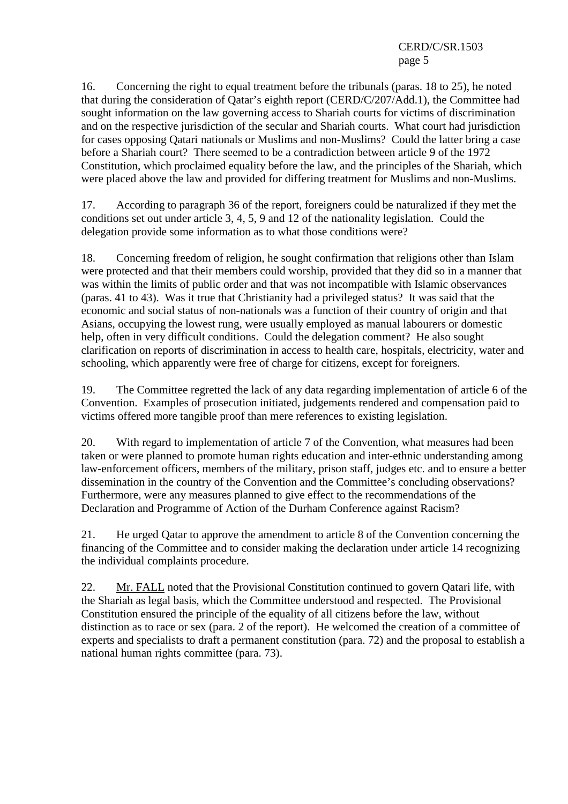CERD/C/SR.1503 page 5

16. Concerning the right to equal treatment before the tribunals (paras. 18 to 25), he noted that during the consideration of Qatar's eighth report (CERD/C/207/Add.1), the Committee had sought information on the law governing access to Shariah courts for victims of discrimination and on the respective jurisdiction of the secular and Shariah courts. What court had jurisdiction for cases opposing Qatari nationals or Muslims and non-Muslims? Could the latter bring a case before a Shariah court? There seemed to be a contradiction between article 9 of the 1972 Constitution, which proclaimed equality before the law, and the principles of the Shariah, which were placed above the law and provided for differing treatment for Muslims and non-Muslims.

17. According to paragraph 36 of the report, foreigners could be naturalized if they met the conditions set out under article 3, 4, 5, 9 and 12 of the nationality legislation. Could the delegation provide some information as to what those conditions were?

18. Concerning freedom of religion, he sought confirmation that religions other than Islam were protected and that their members could worship, provided that they did so in a manner that was within the limits of public order and that was not incompatible with Islamic observances (paras. 41 to 43). Was it true that Christianity had a privileged status? It was said that the economic and social status of non-nationals was a function of their country of origin and that Asians, occupying the lowest rung, were usually employed as manual labourers or domestic help, often in very difficult conditions. Could the delegation comment? He also sought clarification on reports of discrimination in access to health care, hospitals, electricity, water and schooling, which apparently were free of charge for citizens, except for foreigners.

19. The Committee regretted the lack of any data regarding implementation of article 6 of the Convention. Examples of prosecution initiated, judgements rendered and compensation paid to victims offered more tangible proof than mere references to existing legislation.

20. With regard to implementation of article 7 of the Convention, what measures had been taken or were planned to promote human rights education and inter-ethnic understanding among law-enforcement officers, members of the military, prison staff, judges etc. and to ensure a better dissemination in the country of the Convention and the Committee's concluding observations? Furthermore, were any measures planned to give effect to the recommendations of the Declaration and Programme of Action of the Durham Conference against Racism?

21. He urged Qatar to approve the amendment to article 8 of the Convention concerning the financing of the Committee and to consider making the declaration under article 14 recognizing the individual complaints procedure.

22. Mr. FALL noted that the Provisional Constitution continued to govern Qatari life, with the Shariah as legal basis, which the Committee understood and respected. The Provisional Constitution ensured the principle of the equality of all citizens before the law, without distinction as to race or sex (para. 2 of the report). He welcomed the creation of a committee of experts and specialists to draft a permanent constitution (para. 72) and the proposal to establish a national human rights committee (para. 73).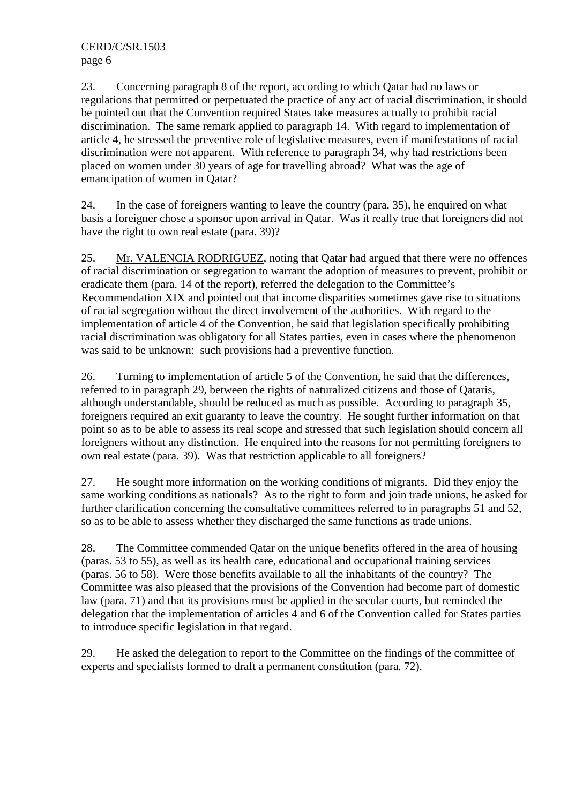23. Concerning paragraph 8 of the report, according to which Qatar had no laws or regulations that permitted or perpetuated the practice of any act of racial discrimination, it should be pointed out that the Convention required States take measures actually to prohibit racial discrimination. The same remark applied to paragraph 14. With regard to implementation of article 4, he stressed the preventive role of legislative measures, even if manifestations of racial discrimination were not apparent. With reference to paragraph 34, why had restrictions been placed on women under 30 years of age for travelling abroad? What was the age of emancipation of women in Qatar?

24. In the case of foreigners wanting to leave the country (para. 35), he enquired on what basis a foreigner chose a sponsor upon arrival in Qatar. Was it really true that foreigners did not have the right to own real estate (para. 39)?

25. Mr. VALENCIA RODRIGUEZ, noting that Qatar had argued that there were no offences of racial discrimination or segregation to warrant the adoption of measures to prevent, prohibit or eradicate them (para. 14 of the report), referred the delegation to the Committee's Recommendation XIX and pointed out that income disparities sometimes gave rise to situations of racial segregation without the direct involvement of the authorities. With regard to the implementation of article 4 of the Convention, he said that legislation specifically prohibiting racial discrimination was obligatory for all States parties, even in cases where the phenomenon was said to be unknown: such provisions had a preventive function.

26. Turning to implementation of article 5 of the Convention, he said that the differences, referred to in paragraph 29, between the rights of naturalized citizens and those of Qataris, although understandable, should be reduced as much as possible. According to paragraph 35, foreigners required an exit guaranty to leave the country. He sought further information on that point so as to be able to assess its real scope and stressed that such legislation should concern all foreigners without any distinction. He enquired into the reasons for not permitting foreigners to own real estate (para. 39). Was that restriction applicable to all foreigners?

27. He sought more information on the working conditions of migrants. Did they enjoy the same working conditions as nationals? As to the right to form and join trade unions, he asked for further clarification concerning the consultative committees referred to in paragraphs 51 and 52, so as to be able to assess whether they discharged the same functions as trade unions.

28. The Committee commended Qatar on the unique benefits offered in the area of housing (paras. 53 to 55), as well as its health care, educational and occupational training services (paras. 56 to 58). Were those benefits available to all the inhabitants of the country? The Committee was also pleased that the provisions of the Convention had become part of domestic law (para. 71) and that its provisions must be applied in the secular courts, but reminded the delegation that the implementation of articles 4 and 6 of the Convention called for States parties to introduce specific legislation in that regard.

29. He asked the delegation to report to the Committee on the findings of the committee of experts and specialists formed to draft a permanent constitution (para. 72).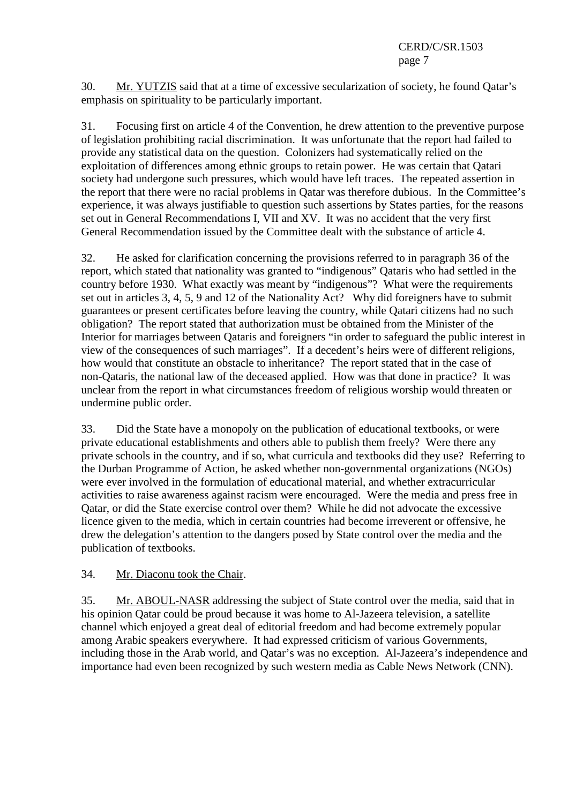30. Mr. YUTZIS said that at a time of excessive secularization of society, he found Qatar's emphasis on spirituality to be particularly important.

31. Focusing first on article 4 of the Convention, he drew attention to the preventive purpose of legislation prohibiting racial discrimination. It was unfortunate that the report had failed to provide any statistical data on the question. Colonizers had systematically relied on the exploitation of differences among ethnic groups to retain power. He was certain that Qatari society had undergone such pressures, which would have left traces. The repeated assertion in the report that there were no racial problems in Qatar was therefore dubious. In the Committee's experience, it was always justifiable to question such assertions by States parties, for the reasons set out in General Recommendations I, VII and XV. It was no accident that the very first General Recommendation issued by the Committee dealt with the substance of article 4.

32. He asked for clarification concerning the provisions referred to in paragraph 36 of the report, which stated that nationality was granted to "indigenous" Qataris who had settled in the country before 1930. What exactly was meant by "indigenous"? What were the requirements set out in articles 3, 4, 5, 9 and 12 of the Nationality Act? Why did foreigners have to submit guarantees or present certificates before leaving the country, while Qatari citizens had no such obligation? The report stated that authorization must be obtained from the Minister of the Interior for marriages between Qataris and foreigners "in order to safeguard the public interest in view of the consequences of such marriages". If a decedent's heirs were of different religions, how would that constitute an obstacle to inheritance? The report stated that in the case of non-Qataris, the national law of the deceased applied. How was that done in practice? It was unclear from the report in what circumstances freedom of religious worship would threaten or undermine public order.

33. Did the State have a monopoly on the publication of educational textbooks, or were private educational establishments and others able to publish them freely? Were there any private schools in the country, and if so, what curricula and textbooks did they use? Referring to the Durban Programme of Action, he asked whether non-governmental organizations (NGOs) were ever involved in the formulation of educational material, and whether extracurricular activities to raise awareness against racism were encouraged. Were the media and press free in Qatar, or did the State exercise control over them? While he did not advocate the excessive licence given to the media, which in certain countries had become irreverent or offensive, he drew the delegation's attention to the dangers posed by State control over the media and the publication of textbooks.

## 34. Mr. Diaconu took the Chair.

35. Mr. ABOUL-NASR addressing the subject of State control over the media, said that in his opinion Qatar could be proud because it was home to Al-Jazeera television, a satellite channel which enjoyed a great deal of editorial freedom and had become extremely popular among Arabic speakers everywhere. It had expressed criticism of various Governments, including those in the Arab world, and Qatar's was no exception. Al-Jazeera's independence and importance had even been recognized by such western media as Cable News Network (CNN).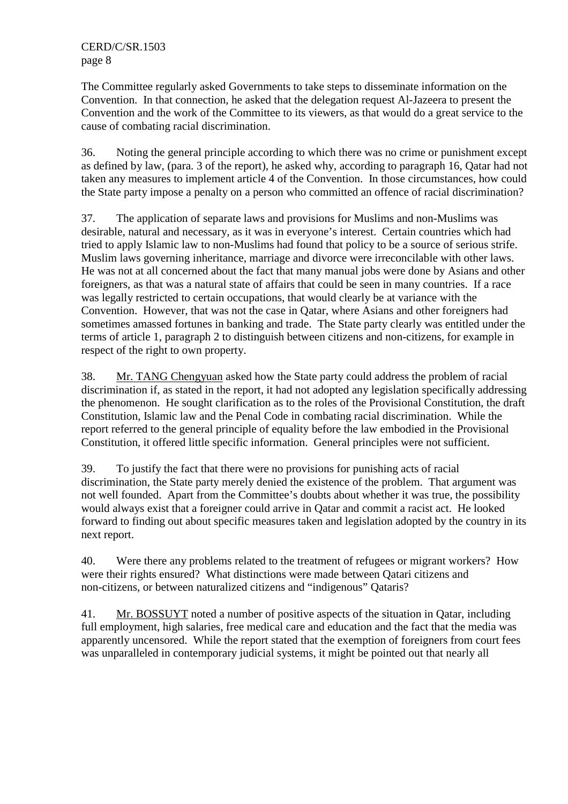The Committee regularly asked Governments to take steps to disseminate information on the Convention. In that connection, he asked that the delegation request Al-Jazeera to present the Convention and the work of the Committee to its viewers, as that would do a great service to the cause of combating racial discrimination.

36. Noting the general principle according to which there was no crime or punishment except as defined by law, (para. 3 of the report), he asked why, according to paragraph 16, Qatar had not taken any measures to implement article 4 of the Convention. In those circumstances, how could the State party impose a penalty on a person who committed an offence of racial discrimination?

37. The application of separate laws and provisions for Muslims and non-Muslims was desirable, natural and necessary, as it was in everyone's interest. Certain countries which had tried to apply Islamic law to non-Muslims had found that policy to be a source of serious strife. Muslim laws governing inheritance, marriage and divorce were irreconcilable with other laws. He was not at all concerned about the fact that many manual jobs were done by Asians and other foreigners, as that was a natural state of affairs that could be seen in many countries. If a race was legally restricted to certain occupations, that would clearly be at variance with the Convention. However, that was not the case in Qatar, where Asians and other foreigners had sometimes amassed fortunes in banking and trade. The State party clearly was entitled under the terms of article 1, paragraph 2 to distinguish between citizens and non-citizens, for example in respect of the right to own property.

38. Mr. TANG Chengyuan asked how the State party could address the problem of racial discrimination if, as stated in the report, it had not adopted any legislation specifically addressing the phenomenon. He sought clarification as to the roles of the Provisional Constitution, the draft Constitution, Islamic law and the Penal Code in combating racial discrimination. While the report referred to the general principle of equality before the law embodied in the Provisional Constitution, it offered little specific information. General principles were not sufficient.

39. To justify the fact that there were no provisions for punishing acts of racial discrimination, the State party merely denied the existence of the problem. That argument was not well founded. Apart from the Committee's doubts about whether it was true, the possibility would always exist that a foreigner could arrive in Qatar and commit a racist act. He looked forward to finding out about specific measures taken and legislation adopted by the country in its next report.

40. Were there any problems related to the treatment of refugees or migrant workers? How were their rights ensured? What distinctions were made between Qatari citizens and non-citizens, or between naturalized citizens and "indigenous" Qataris?

41. Mr. BOSSUYT noted a number of positive aspects of the situation in Qatar, including full employment, high salaries, free medical care and education and the fact that the media was apparently uncensored. While the report stated that the exemption of foreigners from court fees was unparalleled in contemporary judicial systems, it might be pointed out that nearly all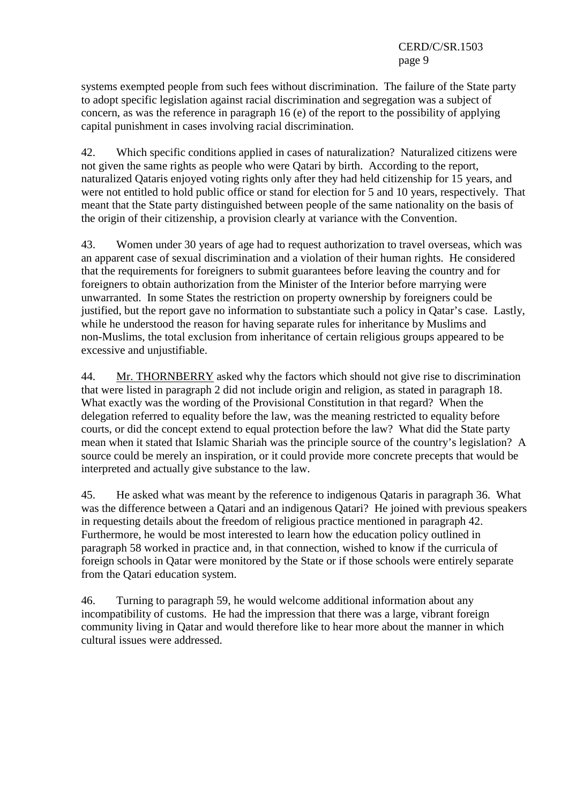systems exempted people from such fees without discrimination. The failure of the State party to adopt specific legislation against racial discrimination and segregation was a subject of concern, as was the reference in paragraph 16 (e) of the report to the possibility of applying capital punishment in cases involving racial discrimination.

42. Which specific conditions applied in cases of naturalization? Naturalized citizens were not given the same rights as people who were Qatari by birth. According to the report, naturalized Qataris enjoyed voting rights only after they had held citizenship for 15 years, and were not entitled to hold public office or stand for election for 5 and 10 years, respectively. That meant that the State party distinguished between people of the same nationality on the basis of the origin of their citizenship, a provision clearly at variance with the Convention.

43. Women under 30 years of age had to request authorization to travel overseas, which was an apparent case of sexual discrimination and a violation of their human rights. He considered that the requirements for foreigners to submit guarantees before leaving the country and for foreigners to obtain authorization from the Minister of the Interior before marrying were unwarranted. In some States the restriction on property ownership by foreigners could be justified, but the report gave no information to substantiate such a policy in Qatar's case. Lastly, while he understood the reason for having separate rules for inheritance by Muslims and non-Muslims, the total exclusion from inheritance of certain religious groups appeared to be excessive and unjustifiable.

44. Mr. THORNBERRY asked why the factors which should not give rise to discrimination that were listed in paragraph 2 did not include origin and religion, as stated in paragraph 18. What exactly was the wording of the Provisional Constitution in that regard? When the delegation referred to equality before the law, was the meaning restricted to equality before courts, or did the concept extend to equal protection before the law? What did the State party mean when it stated that Islamic Shariah was the principle source of the country's legislation? A source could be merely an inspiration, or it could provide more concrete precepts that would be interpreted and actually give substance to the law.

45. He asked what was meant by the reference to indigenous Qataris in paragraph 36. What was the difference between a Qatari and an indigenous Qatari? He joined with previous speakers in requesting details about the freedom of religious practice mentioned in paragraph 42. Furthermore, he would be most interested to learn how the education policy outlined in paragraph 58 worked in practice and, in that connection, wished to know if the curricula of foreign schools in Qatar were monitored by the State or if those schools were entirely separate from the Qatari education system.

46. Turning to paragraph 59, he would welcome additional information about any incompatibility of customs. He had the impression that there was a large, vibrant foreign community living in Qatar and would therefore like to hear more about the manner in which cultural issues were addressed.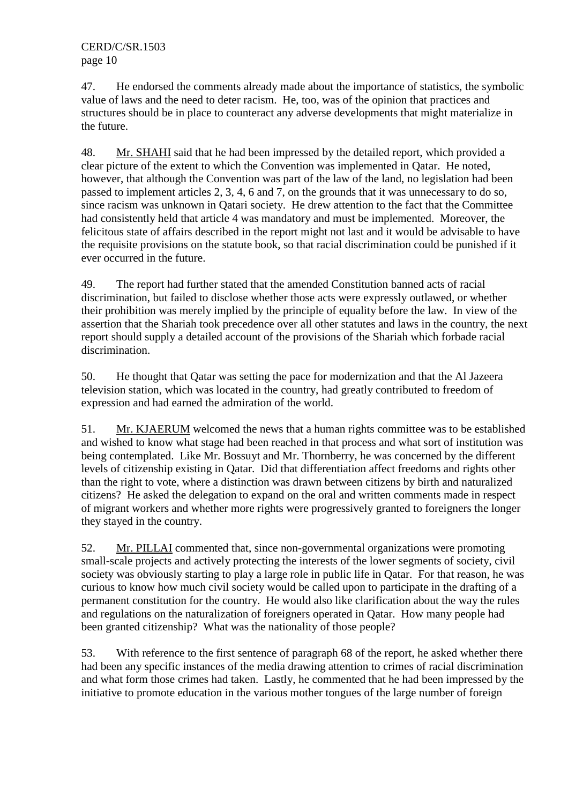47. He endorsed the comments already made about the importance of statistics, the symbolic value of laws and the need to deter racism. He, too, was of the opinion that practices and structures should be in place to counteract any adverse developments that might materialize in the future.

48. Mr. SHAHI said that he had been impressed by the detailed report, which provided a clear picture of the extent to which the Convention was implemented in Qatar. He noted, however, that although the Convention was part of the law of the land, no legislation had been passed to implement articles 2, 3, 4, 6 and 7, on the grounds that it was unnecessary to do so, since racism was unknown in Qatari society. He drew attention to the fact that the Committee had consistently held that article 4 was mandatory and must be implemented. Moreover, the felicitous state of affairs described in the report might not last and it would be advisable to have the requisite provisions on the statute book, so that racial discrimination could be punished if it ever occurred in the future.

49. The report had further stated that the amended Constitution banned acts of racial discrimination, but failed to disclose whether those acts were expressly outlawed, or whether their prohibition was merely implied by the principle of equality before the law. In view of the assertion that the Shariah took precedence over all other statutes and laws in the country, the next report should supply a detailed account of the provisions of the Shariah which forbade racial discrimination.

50. He thought that Qatar was setting the pace for modernization and that the Al Jazeera television station, which was located in the country, had greatly contributed to freedom of expression and had earned the admiration of the world.

51. Mr. KJAERUM welcomed the news that a human rights committee was to be established and wished to know what stage had been reached in that process and what sort of institution was being contemplated. Like Mr. Bossuyt and Mr. Thornberry, he was concerned by the different levels of citizenship existing in Qatar. Did that differentiation affect freedoms and rights other than the right to vote, where a distinction was drawn between citizens by birth and naturalized citizens? He asked the delegation to expand on the oral and written comments made in respect of migrant workers and whether more rights were progressively granted to foreigners the longer they stayed in the country.

52. Mr. PILLAI commented that, since non-governmental organizations were promoting small-scale projects and actively protecting the interests of the lower segments of society, civil society was obviously starting to play a large role in public life in Qatar. For that reason, he was curious to know how much civil society would be called upon to participate in the drafting of a permanent constitution for the country. He would also like clarification about the way the rules and regulations on the naturalization of foreigners operated in Qatar. How many people had been granted citizenship? What was the nationality of those people?

53. With reference to the first sentence of paragraph 68 of the report, he asked whether there had been any specific instances of the media drawing attention to crimes of racial discrimination and what form those crimes had taken. Lastly, he commented that he had been impressed by the initiative to promote education in the various mother tongues of the large number of foreign